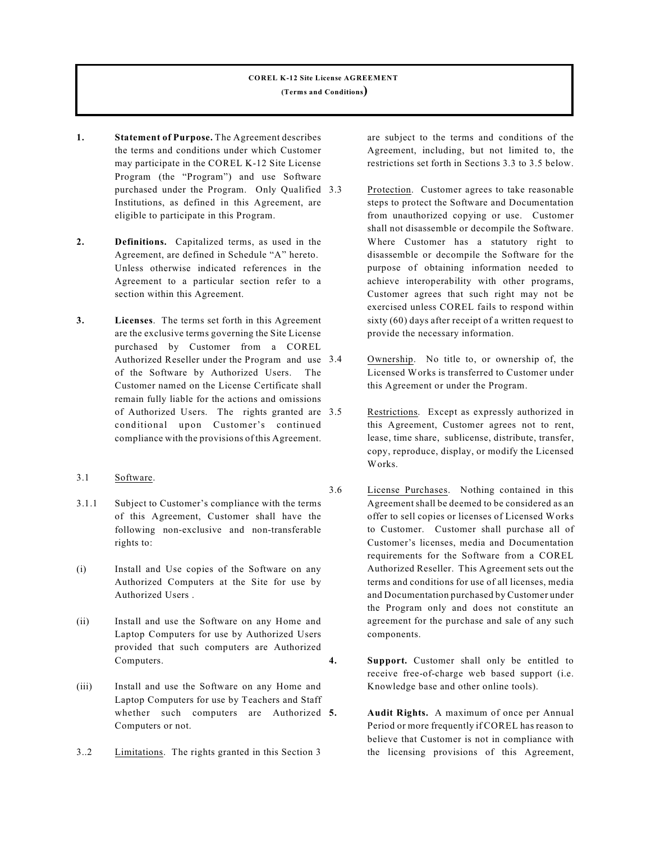# **COREL K-12 Site License AGREEMENT (Terms and Conditions)**

- **1. Statement of Purpose.** The Agreement describes the terms and conditions under which Customer may participate in the COREL K-12 Site License Program (the "Program") and use Software purchased under the Program. Only Qualified Institutions, as defined in this Agreement, are eligible to participate in this Program.
- **2. Definitions.** Capitalized terms, as used in the Agreement, are defined in Schedule "A" hereto. Unless otherwise indicated references in the Agreement to a particular section refer to a section within this Agreement.
- **3. Licenses**. The terms set forth in this Agreement are the exclusive terms governing the Site License purchased by Customer from a COREL Authorized Reseller under the Program and use of the Software by Authorized Users. The Customer named on the License Certificate shall remain fully liable for the actions and omissions of Authorized Users. The rights granted are 3.5 conditional upon Customer's continued compliance with the provisions of this Agreement.
- 3.1 Software.
- 3.1.1 Subject to Customer's compliance with the terms of this Agreement, Customer shall have the following non-exclusive and non-transferable rights to:
- (i) Install and Use copies of the Software on any Authorized Computers at the Site for use by Authorized Users .
- (ii) Install and use the Software on any Home and Laptop Computers for use by Authorized Users provided that such computers are Authorized Computers.
- (iii) Install and use the Software on any Home and Laptop Computers for use by Teachers and Staff whether such computers are Authorized 5. Computers or not.
- 3..2 Limitations. The rights granted in this Section 3

are subject to the terms and conditions of the Agreement, including, but not limited to, the restrictions set forth in Sections 3.3 to 3.5 below.

- Protection. Customer agrees to take reasonable steps to protect the Software and Documentation from unauthorized copying or use. Customer shall not disassemble or decompile the Software. Where Customer has a statutory right to disassemble or decompile the Software for the purpose of obtaining information needed to achieve interoperability with other programs, Customer agrees that such right may not be exercised unless COREL fails to respond within sixty (60) days after receipt of a written request to provide the necessary information.
- Ownership. No title to, or ownership of, the Licensed Works is transferred to Customer under this Agreement or under the Program.
- Restrictions. Except as expressly authorized in this Agreement, Customer agrees not to rent, lease, time share, sublicense, distribute, transfer, copy, reproduce, display, or modify the Licensed Works.
- 3.6 License Purchases. Nothing contained in this Agreement shall be deemed to be considered as an offer to sell copies or licenses of Licensed Works to Customer. Customer shall purchase all of Customer's licenses, media and Documentation requirements for the Software from a COREL Authorized Reseller. This Agreement sets out the terms and conditions for use of all licenses, media and Documentation purchased by Customer under the Program only and does not constitute an agreement for the purchase and sale of any such components.
- 4. **Support.** Customer shall only be entitled to receive free-of-charge web based support (i.e. Knowledge base and other online tools).
	- **5. Audit Rights.** A maximum of once per Annual Period or more frequently if COREL has reason to believe that Customer is not in compliance with the licensing provisions of this Agreement,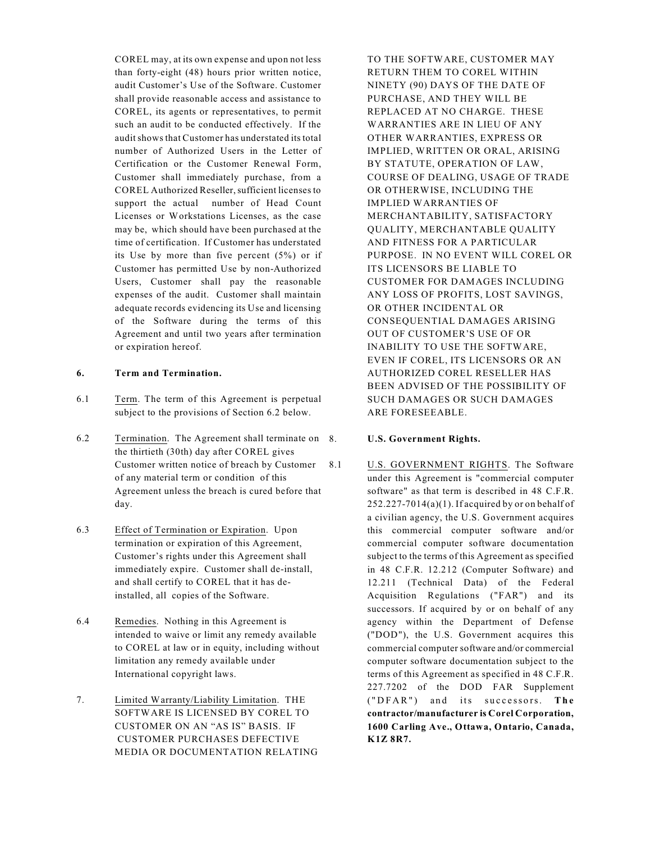COREL may, at its own expense and upon not less than forty-eight (48) hours prior written notice, audit Customer's Use of the Software. Customer shall provide reasonable access and assistance to COREL, its agents or representatives, to permit such an audit to be conducted effectively. If the audit shows that Customer has understated its total number of Authorized Users in the Letter of Certification or the Customer Renewal Form, Customer shall immediately purchase, from a COREL Authorized Reseller, sufficient licenses to support the actual number of Head Count Licenses or Workstations Licenses, as the case may be, which should have been purchased at the time of certification. If Customer has understated its Use by more than five percent (5%) or if Customer has permitted Use by non-Authorized Users, Customer shall pay the reasonable expenses of the audit. Customer shall maintain adequate records evidencing its Use and licensing of the Software during the terms of this Agreement and until two years after termination or expiration hereof.

## **6. Term and Termination.**

- 6.1 Term. The term of this Agreement is perpetual subject to the provisions of Section 6.2 below.
- 6.2 Termination. The Agreement shall terminate on 8. the thirtieth (30th) day after COREL gives Customer written notice of breach by Customer of any material term or condition of this Agreement unless the breach is cured before that day.
- 6.3 Effect of Termination or Expiration. Upon termination or expiration of this Agreement, Customer's rights under this Agreement shall immediately expire. Customer shall de-install, and shall certify to COREL that it has deinstalled, all copies of the Software.
- 6.4 Remedies. Nothing in this Agreement is intended to waive or limit any remedy available to COREL at law or in equity, including without limitation any remedy available under International copyright laws.
- 7. Limited Warranty/Liability Limitation. THE SOFTWARE IS LICENSED BY COREL TO CUSTOMER ON AN "AS IS" BASIS. IF CUSTOMER PURCHASES DEFECTIVE MEDIA OR DOCUMENTATION RELATING

TO THE SOFTWARE, CUSTOMER MAY RETURN THEM TO COREL WITHIN NINETY (90) DAYS OF THE DATE OF PURCHASE, AND THEY WILL BE REPLACED AT NO CHARGE. THESE WARRANTIES ARE IN LIEU OF ANY OTHER WARRANTIES, EXPRESS OR IMPLIED, WRITTEN OR ORAL, ARISING BY STATUTE, OPERATION OF LAW, COURSE OF DEALING, USAGE OF TRADE OR OTHERWISE, INCLUDING THE IMPLIED WARRANTIES OF MERCHANTABILITY, SATISFACTORY QUALITY, MERCHANTABLE QUALITY AND FITNESS FOR A PARTICULAR PURPOSE. IN NO EVENT WILL COREL OR ITS LICENSORS BE LIABLE TO CUSTOMER FOR DAMAGES INCLUDING ANY LOSS OF PROFITS, LOST SAVINGS, OR OTHER INCIDENTAL OR CONSEQUENTIAL DAMAGES ARISING OUT OF CUSTOMER'S USE OF OR INABILITY TO USE THE SOFTWARE, EVEN IF COREL, ITS LICENSORS OR AN AUTHORIZED COREL RESELLER HAS BEEN ADVISED OF THE POSSIBILITY OF SUCH DAMAGES OR SUCH DAMAGES ARE FORESEEABLE.

#### 8. **U.S. Government Rights.**

U.S. GOVERNMENT RIGHTS. The Software under this Agreement is "commercial computer software" as that term is described in 48 C.F.R.  $252.227 - 7014(a)(1)$ . If acquired by or on behalf of a civilian agency, the U.S. Government acquires this commercial computer software and/or commercial computer software documentation subject to the terms of this Agreement as specified in 48 C.F.R. 12.212 (Computer Software) and 12.211 (Technical Data) of the Federal Acquisition Regulations ("FAR") and its successors. If acquired by or on behalf of any agency within the Department of Defense ("DOD"), the U.S. Government acquires this commercial computer software and/or commercial computer software documentation subject to the terms of this Agreement as specified in 48 C.F.R. 227.7202 of the DOD FAR Supplement ("DFAR") and its successors. The **contractor/manufacturer is Corel Corporation, 1600 Carling Ave., Ottawa, Ontario, Canada, K1Z 8R7.**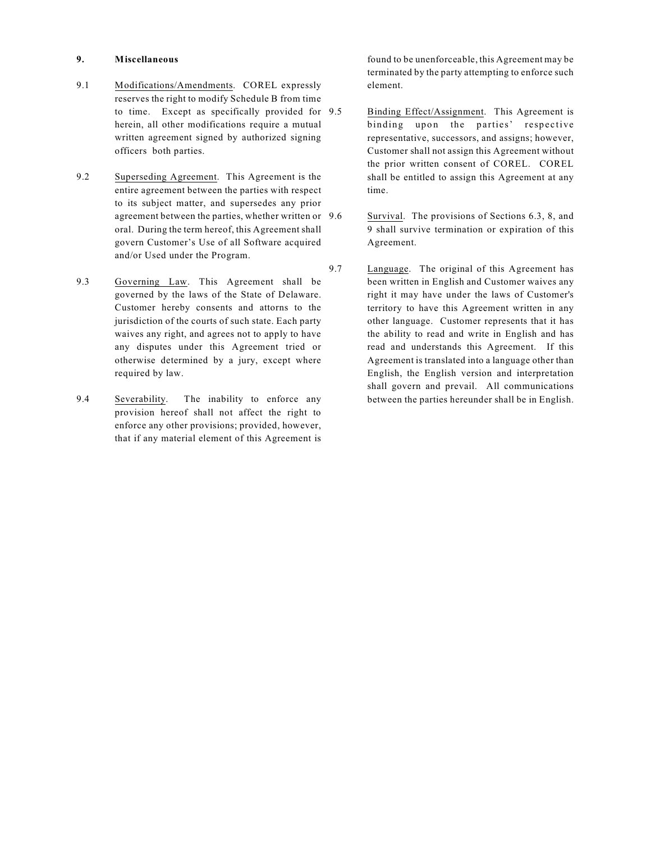## **9. Miscellaneous**

- 9.1 Modifications/Amendments. COREL expressly reserves the right to modify Schedule B from time to time. Except as specifically provided for 9.5 herein, all other modifications require a mutual written agreement signed by authorized signing officers both parties.
- 9.2 Superseding Agreement. This Agreement is the entire agreement between the parties with respect to its subject matter, and supersedes any prior agreement between the parties, whether written or 9.6 oral. During the term hereof, this Agreement shall govern Customer's Use of all Software acquired and/or Used under the Program.
- 9.3 Governing Law. This Agreement shall be governed by the laws of the State of Delaware. Customer hereby consents and attorns to the jurisdiction of the courts of such state. Each party waives any right, and agrees not to apply to have any disputes under this Agreement tried or otherwise determined by a jury, except where required by law.
- 9.4 Severability. The inability to enforce any provision hereof shall not affect the right to enforce any other provisions; provided, however, that if any material element of this Agreement is

found to be unenforceable, this Agreement may be terminated by the party attempting to enforce such element.

- 9.5 Binding Effect/Assignment. This Agreement is binding upon the parties' respective representative, successors, and assigns; however, Customer shall not assign this Agreement without the prior written consent of COREL. COREL shall be entitled to assign this Agreement at any time.
- Survival. The provisions of Sections 6.3, 8, and 9 shall survive termination or expiration of this Agreement.
- 9.7 Language. The original of this Agreement has been written in English and Customer waives any right it may have under the laws of Customer's territory to have this Agreement written in any other language. Customer represents that it has the ability to read and write in English and has read and understands this Agreement. If this Agreement is translated into a language other than English, the English version and interpretation shall govern and prevail. All communications between the parties hereunder shall be in English.